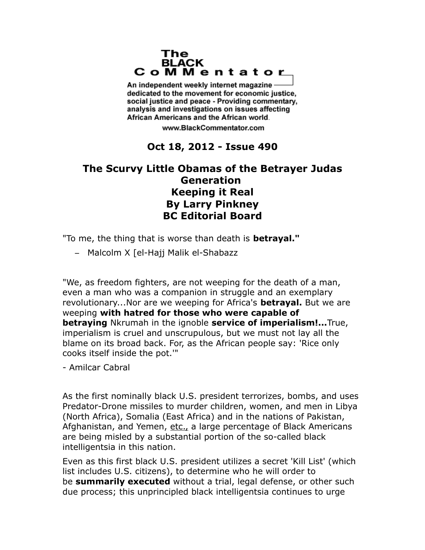## The **BLACK** CoMMentator

An independent weekly internet magazine dedicated to the movement for economic justice. social justice and peace - Providing commentary, analysis and investigations on issues affecting African Americans and the African world.

www.BlackCommentator.com

## **Oct 18, 2012 - Issue 490**

## **The Scurvy Little Obamas of the Betrayer Judas Generation Keeping it Real By Larry Pinkney BC Editorial Board**

"To me, the thing that is worse than death is **betrayal."**

– Malcolm X [el-Hajj Malik el-Shabazz

"We, as freedom fighters, are not weeping for the death of a man, even a man who was a companion in struggle and an exemplary revolutionary...Nor are we weeping for Africa's **betrayal.** But we are weeping **with hatred for those who were capable of betraying** Nkrumah in the ignoble **service of imperialism!...**True, imperialism is cruel and unscrupulous, but we must not lay all the blame on its broad back. For, as the African people say: 'Rice only cooks itself inside the pot.'"

- Amilcar Cabral

As the first nominally black U.S. president terrorizes, bombs, and uses Predator-Drone missiles to murder children, women, and men in Libya (North Africa), Somalia (East Africa) and in the nations of Pakistan, Afghanistan, and Yemen, etc., a large percentage of Black Americans are being misled by a substantial portion of the so-called black intelligentsia in this nation.

Even as this first black U.S. president utilizes a secret 'Kill List' (which list includes U.S. citizens), to determine who he will order to be **summarily executed** without a trial, legal defense, or other such due process; this unprincipled black intelligentsia continues to urge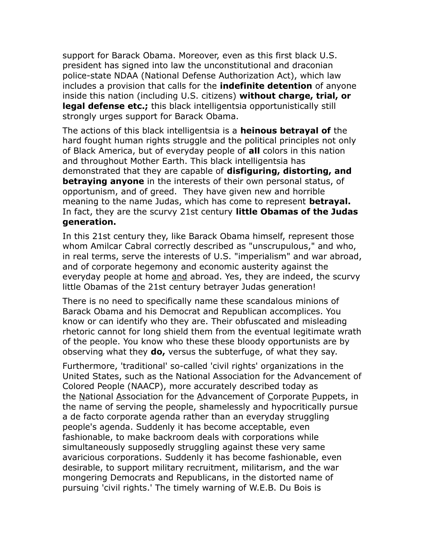support for Barack Obama. Moreover, even as this first black U.S. president has signed into law the unconstitutional and draconian police-state NDAA (National Defense Authorization Act), which law includes a provision that calls for the **indefinite detention** of anyone inside this nation (including U.S. citizens) **without charge, trial, or legal defense etc.;** this black intelligentsia opportunistically still strongly urges support for Barack Obama.

The actions of this black intelligentsia is a **heinous betrayal of** the hard fought human rights struggle and the political principles not only of Black America, but of everyday people of **all** colors in this nation and throughout Mother Earth. This black intelligentsia has demonstrated that they are capable of **disfiguring, distorting, and betraying anyone** in the interests of their own personal status, of opportunism, and of greed. They have given new and horrible meaning to the name Judas, which has come to represent **betrayal.**  In fact, they are the scurvy 21st century **little Obamas of the Judas generation.**

In this 21st century they, like Barack Obama himself, represent those whom Amilcar Cabral correctly described as "unscrupulous," and who, in real terms, serve the interests of U.S. "imperialism" and war abroad, and of corporate hegemony and economic austerity against the everyday people at home and abroad. Yes, they are indeed, the scurvy little Obamas of the 21st century betrayer Judas generation!

There is no need to specifically name these scandalous minions of Barack Obama and his Democrat and Republican accomplices. You know or can identify who they are. Their obfuscated and misleading rhetoric cannot for long shield them from the eventual legitimate wrath of the people. You know who these these bloody opportunists are by observing what they **do,** versus the subterfuge, of what they say.

Furthermore, 'traditional' so-called 'civil rights' organizations in the United States, such as the National Association for the Advancement of Colored People (NAACP), more accurately described today as the National Association for the Advancement of Corporate Puppets, in the name of serving the people, shamelessly and hypocritically pursue a de facto corporate agenda rather than an everyday struggling people's agenda. Suddenly it has become acceptable, even fashionable, to make backroom deals with corporations while simultaneously supposedly struggling against these very same avaricious corporations. Suddenly it has become fashionable, even desirable, to support military recruitment, militarism, and the war mongering Democrats and Republicans, in the distorted name of pursuing 'civil rights.' The timely warning of W.E.B. Du Bois is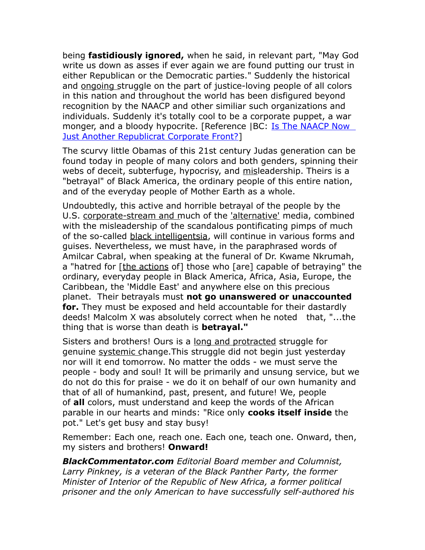being **fastidiously ignored,** when he said, in relevant part, "May God write us down as asses if ever again we are found putting our trust in either Republican or the Democratic parties." Suddenly the historical and ongoing struggle on the part of justice-loving people of all colors in this nation and throughout the world has been disfigured beyond recognition by the NAACP and other similiar such organizations and individuals. Suddenly it's totally cool to be a corporate puppet, a war monger, and a bloody hypocrite. [Reference |BC: [Is The NAACP Now](http://blackcommentator.com/489/489_kir_naacp_share.html)  [Just Another Republicrat Corporate Front?\]](http://blackcommentator.com/489/489_kir_naacp_share.html)

The scurvy little Obamas of this 21st century Judas generation can be found today in people of many colors and both genders, spinning their webs of deceit, subterfuge, hypocrisy, and misleadership. Theirs is a "betrayal" of Black America, the ordinary people of this entire nation, and of the everyday people of Mother Earth as a whole.

Undoubtedly, this active and horrible betrayal of the people by the U.S. corporate-stream and much of the 'alternative' media, combined with the misleadership of the scandalous pontificating pimps of much of the so-called black intelligentsia, will continue in various forms and guises. Nevertheless, we must have, in the paraphrased words of Amilcar Cabral, when speaking at the funeral of Dr. Kwame Nkrumah, a "hatred for [the actions of] those who [are] capable of betraying" the ordinary, everyday people in Black America, Africa, Asia, Europe, the Caribbean, the 'Middle East' and anywhere else on this precious planet. Their betrayals must **not go unanswered or unaccounted for.** They must be exposed and held accountable for their dastardly deeds! Malcolm X was absolutely correct when he noted that, "...the thing that is worse than death is **betrayal."**

Sisters and brothers! Ours is a long and protracted struggle for genuine systemic change.This struggle did not begin just yesterday nor will it end tomorrow. No matter the odds - we must serve the people - body and soul! It will be primarily and unsung service, but we do not do this for praise - we do it on behalf of our own humanity and that of all of humankind, past, present, and future! We, people of **all** colors, must understand and keep the words of the African parable in our hearts and minds: "Rice only **cooks itself inside** the pot." Let's get busy and stay busy!

Remember: Each one, reach one. Each one, teach one. Onward, then, my sisters and brothers! **Onward!**

*BlackCommentator.com Editorial Board member and Columnist, Larry Pinkney, is a veteran of the Black Panther Party, the former Minister of Interior of the Republic of New Africa, a former political prisoner and the only American to have successfully self-authored his*